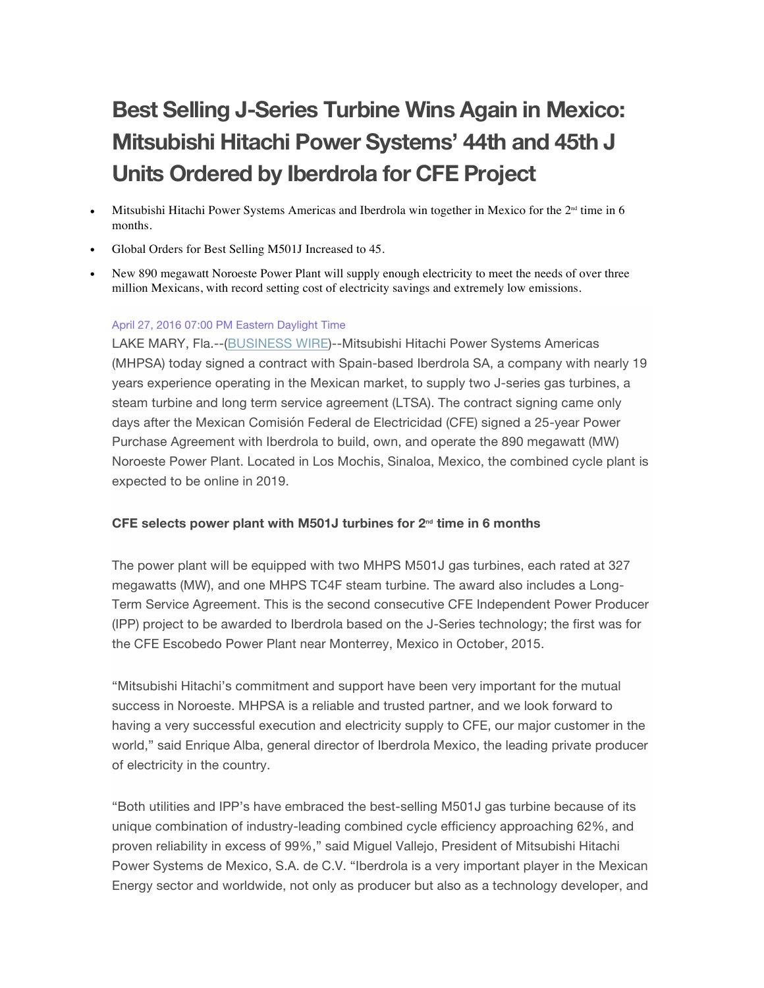# **Best Selling J-Series Turbine Wins Again in Mexico: Mitsubishi Hitachi Power Systems' 44th and 45th J Units Ordered by Iberdrola for CFE Project**

- Mitsubishi Hitachi Power Systems Americas and Iberdrola win together in Mexico for the  $2<sup>nd</sup>$  time in 6 months.
- Global Orders for Best Selling M501J Increased to 45.
- New 890 megawatt Noroeste Power Plant will supply enough electricity to meet the needs of over three million Mexicans, with record setting cost of electricity savings and extremely low emissions.

#### April 27, 2016 07:00 PM Eastern Daylight Time

LAKE MARY, Fla.--(BUSINESS WIRE)--Mitsubishi Hitachi Power Systems Americas (MHPSA) today signed a contract with Spain-based Iberdrola SA, a company with nearly 19 years experience operating in the Mexican market, to supply two J-series gas turbines, a steam turbine and long term service agreement (LTSA). The contract signing came only days after the Mexican Comisión Federal de Electricidad (CFE) signed a 25-year Power Purchase Agreement with Iberdrola to build, own, and operate the 890 megawatt (MW) Noroeste Power Plant. Located in Los Mochis, Sinaloa, Mexico, the combined cycle plant is expected to be online in 2019.

#### **CFE selects power plant with M501J turbines for 2nd time in 6 months**

The power plant will be equipped with two MHPS M501J gas turbines, each rated at 327 megawatts (MW), and one MHPS TC4F steam turbine. The award also includes a Long-Term Service Agreement. This is the second consecutive CFE Independent Power Producer (IPP) project to be awarded to Iberdrola based on the J-Series technology; the first was for the CFE Escobedo Power Plant near Monterrey, Mexico in October, 2015.

"Mitsubishi Hitachi's commitment and support have been very important for the mutual success in Noroeste. MHPSA is a reliable and trusted partner, and we look forward to having a very successful execution and electricity supply to CFE, our major customer in the world," said Enrique Alba, general director of Iberdrola Mexico, the leading private producer of electricity in the country.

"Both utilities and IPP's have embraced the best-selling M501J gas turbine because of its unique combination of industry-leading combined cycle efficiency approaching 62%, and proven reliability in excess of 99%," said Miguel Vallejo, President of Mitsubishi Hitachi Power Systems de Mexico, S.A. de C.V. "Iberdrola is a very important player in the Mexican Energy sector and worldwide, not only as producer but also as a technology developer, and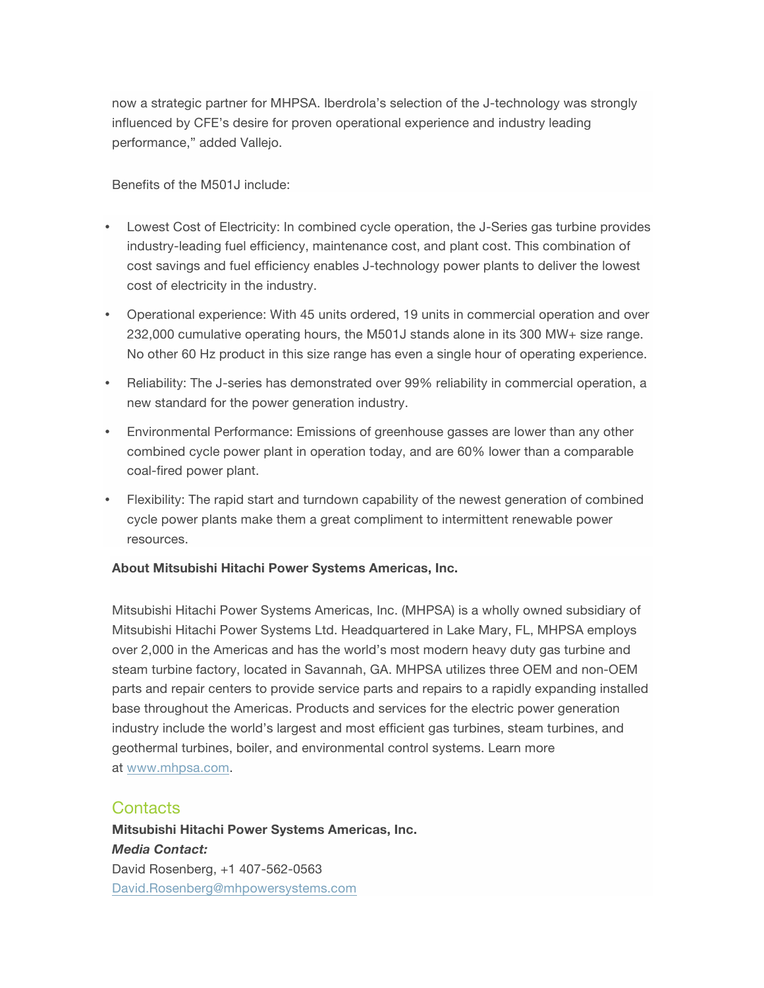now a strategic partner for MHPSA. Iberdrola's selection of the J-technology was strongly influenced by CFE's desire for proven operational experience and industry leading performance," added Vallejo.

Benefits of the M501J include:

- Lowest Cost of Electricity: In combined cycle operation, the J-Series gas turbine provides industry-leading fuel efficiency, maintenance cost, and plant cost. This combination of cost savings and fuel efficiency enables J-technology power plants to deliver the lowest cost of electricity in the industry.
- Operational experience: With 45 units ordered, 19 units in commercial operation and over 232,000 cumulative operating hours, the M501J stands alone in its 300 MW+ size range. No other 60 Hz product in this size range has even a single hour of operating experience.
- Reliability: The J-series has demonstrated over 99% reliability in commercial operation, a new standard for the power generation industry.
- Environmental Performance: Emissions of greenhouse gasses are lower than any other combined cycle power plant in operation today, and are 60% lower than a comparable coal-fired power plant.
- Flexibility: The rapid start and turndown capability of the newest generation of combined cycle power plants make them a great compliment to intermittent renewable power resources.

### **About Mitsubishi Hitachi Power Systems Americas, Inc.**

Mitsubishi Hitachi Power Systems Americas, Inc. (MHPSA) is a wholly owned subsidiary of Mitsubishi Hitachi Power Systems Ltd. Headquartered in Lake Mary, FL, MHPSA employs over 2,000 in the Americas and has the world's most modern heavy duty gas turbine and steam turbine factory, located in Savannah, GA. MHPSA utilizes three OEM and non-OEM parts and repair centers to provide service parts and repairs to a rapidly expanding installed base throughout the Americas. Products and services for the electric power generation industry include the world's largest and most efficient gas turbines, steam turbines, and geothermal turbines, boiler, and environmental control systems. Learn more at www.mhpsa.com.

## **Contacts**

**Mitsubishi Hitachi Power Systems Americas, Inc.** *Media Contact:* David Rosenberg, +1 407-562-0563 David.Rosenberg@mhpowersystems.com